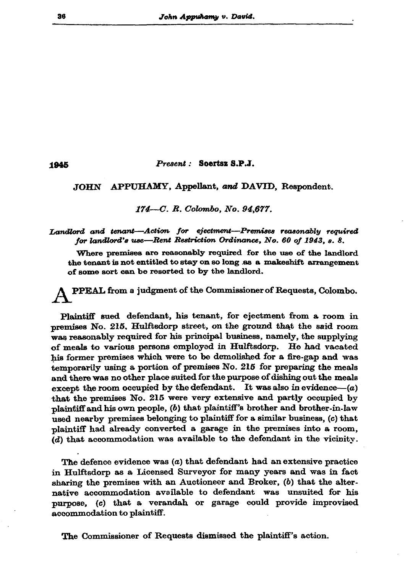Present: Soertsz S.P.J.

## JOHN APPUHAMY, Appellant, and DAVID, Respondent.

174—C. R. Colombo. No. 94.677.

Landlord and tenant-Action for ejectment-Premises reasonably required for landlord's use—Rent Restriction Ordinance, No. 60 of 1943. s. 8.

Where premises are reasonably required for the use of the landlord the tenant is not entitled to stay on so long as a makeshift arrangement of some sort can be resorted to by the landlord.

PPEAL from a judgment of the Commissioner of Requests, Colombo.

Plaintiff sued defendant, his tenant, for ejectment from a room in premises No. 215, Hulftsdorp street, on the ground that the said room was reasonably required for his principal business, namely, the supplying of meals to various persons employed in Hulftsdorp. He had vacated his former premises which were to be demolished for a fire-gap and was temporarily using a portion of premises No. 215 for preparing the meals and there was no other place suited for the purpose of dishing out the meals except the room occupied by the defendant. It was also in evidence- $(a)$ that the premises No. 215 were very extensive and partly occupied by plaintiff and his own people, (b) that plaintiff's brother and brother-in-law used nearby premises belonging to plaintiff for a similar business, (c) that plaintiff had already converted a garage in the premises into a room,  $(d)$  that accommodation was available to the defendant in the vicinity.

The defence evidence was  $(a)$  that defendant had an extensive practice in Hulftsdorp as a Licensed Surveyor for many years and was in fact sharing the premises with an Auctioneer and Broker,  $(b)$  that the alternative accommodation available to defendant was unsuited for his purpose, (c) that a verandah or garage could provide improvised accommodation to plaintiff.

The Commissioner of Requests dismissed the plaintiff's action.

1945